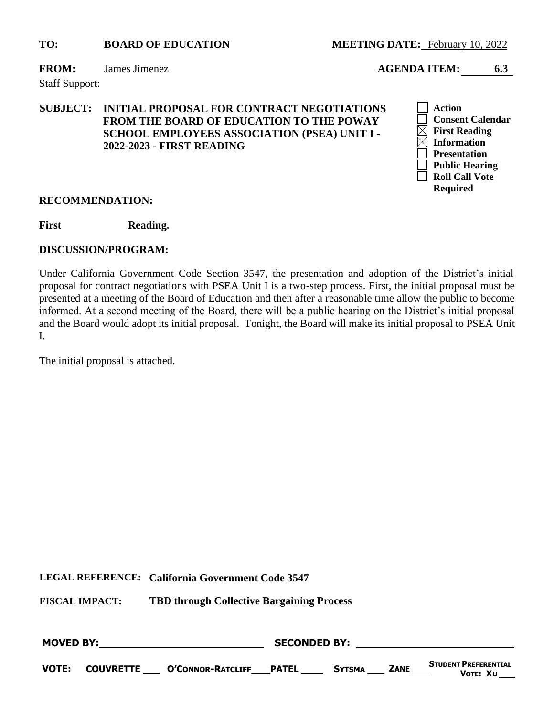#### **FROM:** James Jimenez **AGENDA ITEM: 6.3**

Staff Support:

# **SUBJECT: INITIAL PROPOSAL FOR CONTRACT NEGOTIATIONS FROM THE BOARD OF EDUCATION TO THE POWAY SCHOOL EMPLOYEES ASSOCIATION (PSEA) UNIT I - 2022-2023 - FIRST READING**



#### **RECOMMENDATION:**

First Reading.

#### **DISCUSSION/PROGRAM:**

Under California Government Code Section 3547, the presentation and adoption of the District's initial proposal for contract negotiations with PSEA Unit I is a two-step process. First, the initial proposal must be presented at a meeting of the Board of Education and then after a reasonable time allow the public to become informed. At a second meeting of the Board, there will be a public hearing on the District's initial proposal and the Board would adopt its initial proposal. Tonight, the Board will make its initial proposal to PSEA Unit I.

The initial proposal is attached.

**LEGAL REFERENCE: California Government Code 3547**

| <b>MOVED BY:</b> |  |                                          | <b>SECONDED BY:</b> |               |             |                                         |  |
|------------------|--|------------------------------------------|---------------------|---------------|-------------|-----------------------------------------|--|
| <b>VOTE:</b>     |  | <b>COUVRETTE O'CONNOR-RATCLIFF PATEL</b> |                     | <b>SYTSMA</b> | <b>ZANE</b> | <b>STUDENT PREFERENTIAL</b><br>VOTE: XU |  |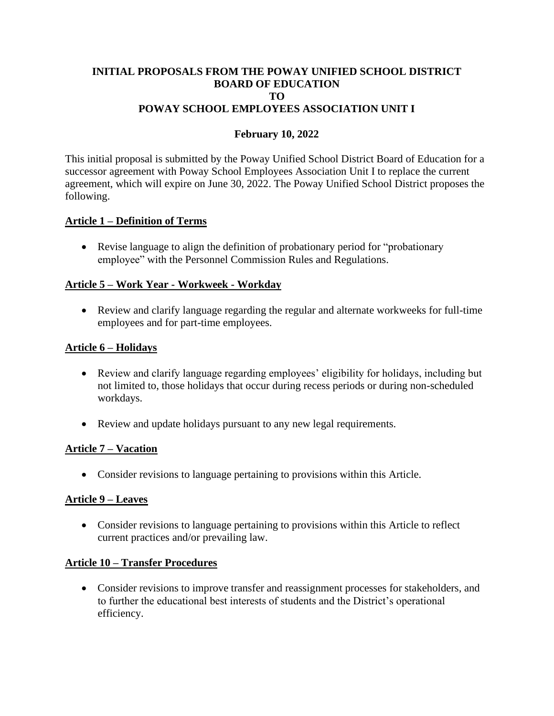#### **INITIAL PROPOSALS FROM THE POWAY UNIFIED SCHOOL DISTRICT BOARD OF EDUCATION TO POWAY SCHOOL EMPLOYEES ASSOCIATION UNIT I**

# **February 10, 2022**

This initial proposal is submitted by the Poway Unified School District Board of Education for a successor agreement with Poway School Employees Association Unit I to replace the current agreement, which will expire on June 30, 2022. The Poway Unified School District proposes the following.

# **Article 1 – Definition of Terms**

• Revise language to align the definition of probationary period for "probationary employee" with the Personnel Commission Rules and Regulations.

# **Article 5 – Work Year - Workweek - Workday**

• Review and clarify language regarding the regular and alternate workweeks for full-time employees and for part-time employees.

# **Article 6 – Holidays**

- Review and clarify language regarding employees' eligibility for holidays, including but not limited to, those holidays that occur during recess periods or during non-scheduled workdays.
- Review and update holidays pursuant to any new legal requirements.

# **Article 7 – Vacation**

• Consider revisions to language pertaining to provisions within this Article.

# **Article 9 – Leaves**

• Consider revisions to language pertaining to provisions within this Article to reflect current practices and/or prevailing law.

# **Article 10 – Transfer Procedures**

• Consider revisions to improve transfer and reassignment processes for stakeholders, and to further the educational best interests of students and the District's operational efficiency.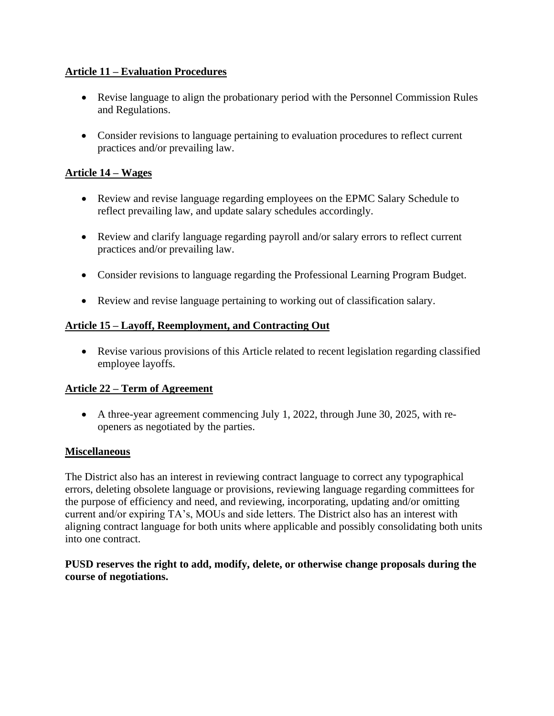# **Article 11 – Evaluation Procedures**

- Revise language to align the probationary period with the Personnel Commission Rules and Regulations.
- Consider revisions to language pertaining to evaluation procedures to reflect current practices and/or prevailing law.

# **Article 14 – Wages**

- Review and revise language regarding employees on the EPMC Salary Schedule to reflect prevailing law, and update salary schedules accordingly.
- Review and clarify language regarding payroll and/or salary errors to reflect current practices and/or prevailing law.
- Consider revisions to language regarding the Professional Learning Program Budget.
- Review and revise language pertaining to working out of classification salary.

# **Article 15 – Layoff, Reemployment, and Contracting Out**

• Revise various provisions of this Article related to recent legislation regarding classified employee layoffs.

# **Article 22 – Term of Agreement**

• A three-year agreement commencing July 1, 2022, through June 30, 2025, with reopeners as negotiated by the parties.

# **Miscellaneous**

The District also has an interest in reviewing contract language to correct any typographical errors, deleting obsolete language or provisions, reviewing language regarding committees for the purpose of efficiency and need, and reviewing, incorporating, updating and/or omitting current and/or expiring TA's, MOUs and side letters. The District also has an interest with aligning contract language for both units where applicable and possibly consolidating both units into one contract.

# **PUSD reserves the right to add, modify, delete, or otherwise change proposals during the course of negotiations.**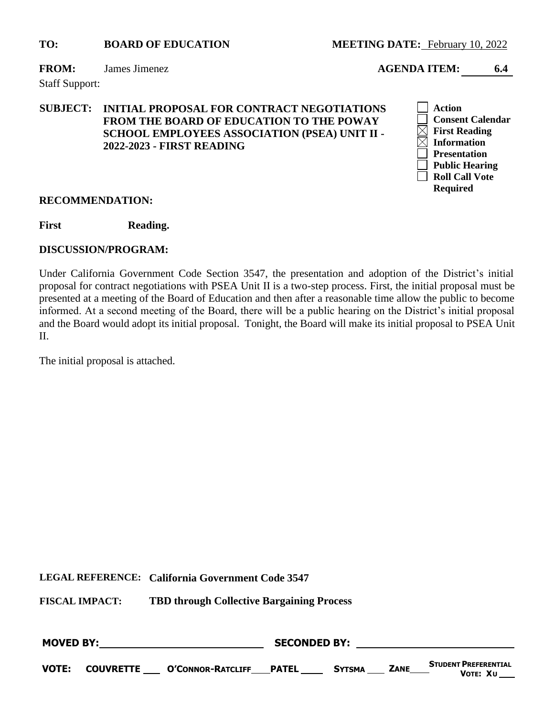#### **FROM:** James Jimenez **AGENDA ITEM:** 6.4

Staff Support:

# **SUBJECT: INITIAL PROPOSAL FOR CONTRACT NEGOTIATIONS FROM THE BOARD OF EDUCATION TO THE POWAY SCHOOL EMPLOYEES ASSOCIATION (PSEA) UNIT II - 2022-2023 - FIRST READING**



#### **RECOMMENDATION:**

First Reading.

#### **DISCUSSION/PROGRAM:**

Under California Government Code Section 3547, the presentation and adoption of the District's initial proposal for contract negotiations with PSEA Unit II is a two-step process. First, the initial proposal must be presented at a meeting of the Board of Education and then after a reasonable time allow the public to become informed. At a second meeting of the Board, there will be a public hearing on the District's initial proposal and the Board would adopt its initial proposal. Tonight, the Board will make its initial proposal to PSEA Unit II.

The initial proposal is attached.

**LEGAL REFERENCE: California Government Code 3547**

| <b>MOVED BY:</b> |  |                                          | <b>SECONDED BY:</b> |               |             |                                         |  |
|------------------|--|------------------------------------------|---------------------|---------------|-------------|-----------------------------------------|--|
| <b>VOTE:</b>     |  | <b>COUVRETTE O'CONNOR-RATCLIFF PATEL</b> |                     | <b>SYTSMA</b> | <b>ZANE</b> | <b>STUDENT PREFERENTIAL</b><br>Vote: Χυ |  |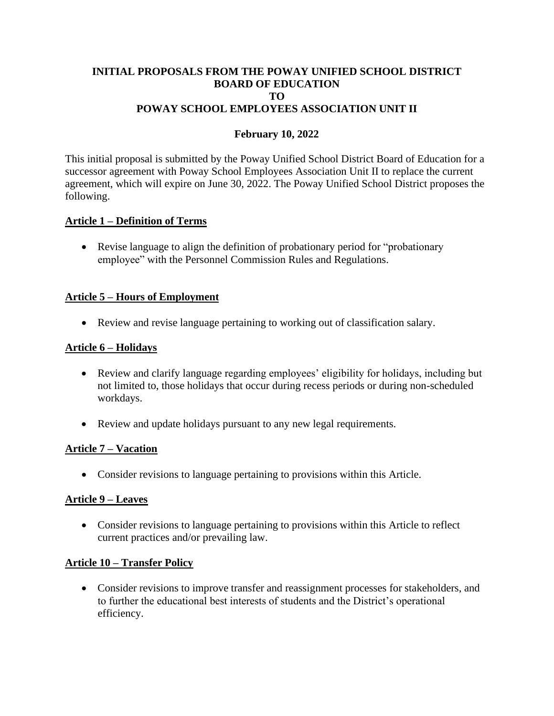#### **INITIAL PROPOSALS FROM THE POWAY UNIFIED SCHOOL DISTRICT BOARD OF EDUCATION TO POWAY SCHOOL EMPLOYEES ASSOCIATION UNIT II**

# **February 10, 2022**

This initial proposal is submitted by the Poway Unified School District Board of Education for a successor agreement with Poway School Employees Association Unit II to replace the current agreement, which will expire on June 30, 2022. The Poway Unified School District proposes the following.

# **Article 1 – Definition of Terms**

• Revise language to align the definition of probationary period for "probationary employee" with the Personnel Commission Rules and Regulations.

# **Article 5 – Hours of Employment**

• Review and revise language pertaining to working out of classification salary.

# **Article 6 – Holidays**

- Review and clarify language regarding employees' eligibility for holidays, including but not limited to, those holidays that occur during recess periods or during non-scheduled workdays.
- Review and update holidays pursuant to any new legal requirements.

# **Article 7 – Vacation**

• Consider revisions to language pertaining to provisions within this Article.

# **Article 9 – Leaves**

• Consider revisions to language pertaining to provisions within this Article to reflect current practices and/or prevailing law.

# **Article 10 – Transfer Policy**

• Consider revisions to improve transfer and reassignment processes for stakeholders, and to further the educational best interests of students and the District's operational efficiency.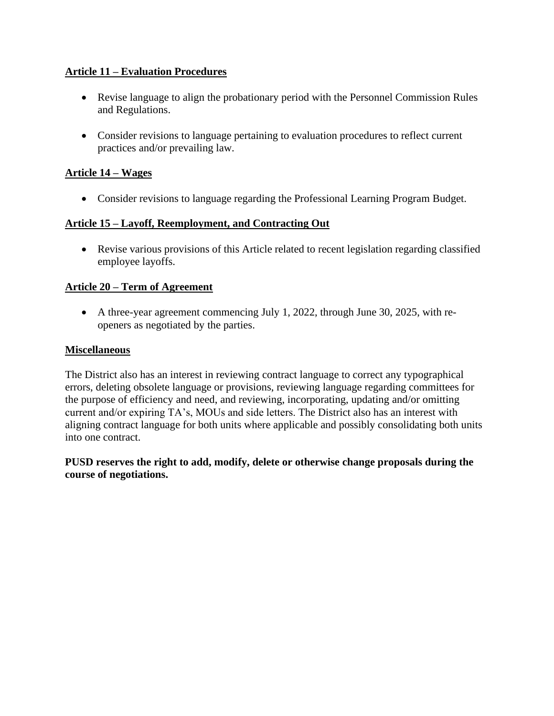# **Article 11 – Evaluation Procedures**

- Revise language to align the probationary period with the Personnel Commission Rules and Regulations.
- Consider revisions to language pertaining to evaluation procedures to reflect current practices and/or prevailing law.

# **Article 14 – Wages**

• Consider revisions to language regarding the Professional Learning Program Budget.

# **Article 15 – Layoff, Reemployment, and Contracting Out**

• Revise various provisions of this Article related to recent legislation regarding classified employee layoffs.

# **Article 20 – Term of Agreement**

• A three-year agreement commencing July 1, 2022, through June 30, 2025, with reopeners as negotiated by the parties.

# **Miscellaneous**

The District also has an interest in reviewing contract language to correct any typographical errors, deleting obsolete language or provisions, reviewing language regarding committees for the purpose of efficiency and need, and reviewing, incorporating, updating and/or omitting current and/or expiring TA's, MOUs and side letters. The District also has an interest with aligning contract language for both units where applicable and possibly consolidating both units into one contract.

# **PUSD reserves the right to add, modify, delete or otherwise change proposals during the course of negotiations.**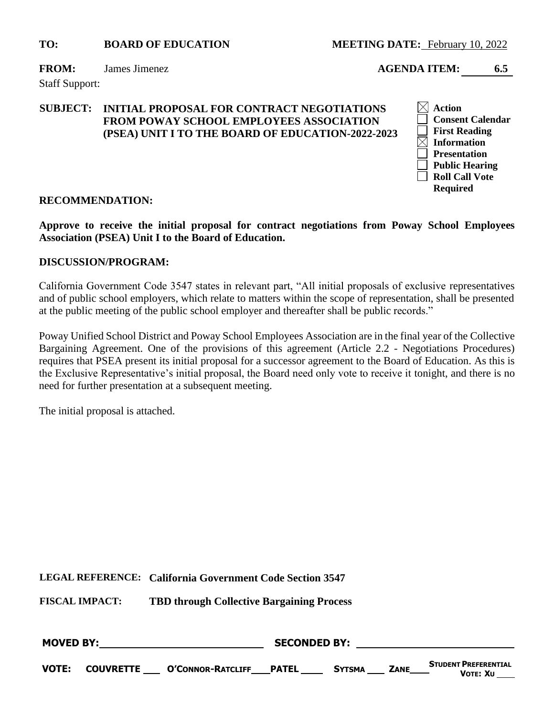**FROM:** James Jimenez **AGENDA ITEM: 6.5**

Staff Support:

# **SUBJECT: INITIAL PROPOSAL FOR CONTRACT NEGOTIATIONS FROM POWAY SCHOOL EMPLOYEES ASSOCIATION (PSEA) UNIT I TO THE BOARD OF EDUCATION-2022-2023**



#### **RECOMMENDATION:**

**Approve to receive the initial proposal for contract negotiations from Poway School Employees Association (PSEA) Unit I to the Board of Education.**

#### **DISCUSSION/PROGRAM:**

California Government Code 3547 states in relevant part, "All initial proposals of exclusive representatives and of public school employers, which relate to matters within the scope of representation, shall be presented at the public meeting of the public school employer and thereafter shall be public records."

Poway Unified School District and Poway School Employees Association are in the final year of the Collective Bargaining Agreement. One of the provisions of this agreement (Article 2.2 - Negotiations Procedures) requires that PSEA present its initial proposal for a successor agreement to the Board of Education. As this is the Exclusive Representative's initial proposal, the Board need only vote to receive it tonight, and there is no need for further presentation at a subsequent meeting.

The initial proposal is attached.

**LEGAL REFERENCE: California Government Code Section 3547**

| <b>MOVED BY:</b> |  |                                        | <b>SECONDED BY:</b> |               |             |                                                 |  |
|------------------|--|----------------------------------------|---------------------|---------------|-------------|-------------------------------------------------|--|
| <b>VOTE:</b>     |  | COUVRETTE ____ O'CONNOR-RATCLIFF PATEL |                     | <b>SYTSMA</b> | <b>ZANE</b> | <b>STUDENT PREFERENTIAL</b><br><b>V</b> οτε: Χυ |  |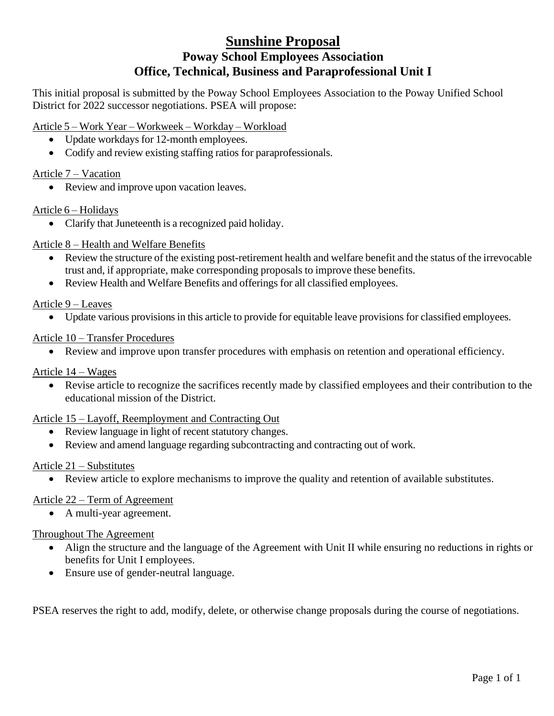# **Sunshine Proposal Poway School Employees Association Office, Technical, Business and Paraprofessional Unit I**

This initial proposal is submitted by the Poway School Employees Association to the Poway Unified School District for 2022 successor negotiations. PSEA will propose:

# Article 5 – Work Year – Workweek – Workday – Workload

- Update workdays for 12-month employees.
- Codify and review existing staffing ratios for paraprofessionals.

# Article 7 – Vacation

• Review and improve upon vacation leaves.

# Article 6 – Holidays

• Clarify that Juneteenth is a recognized paid holiday.

# Article 8 – Health and Welfare Benefits

- Review the structure of the existing post-retirement health and welfare benefit and the status of the irrevocable trust and, if appropriate, make corresponding proposals to improve these benefits.
- Review Health and Welfare Benefits and offerings for all classified employees.

# Article 9 – Leaves

• Update various provisions in this article to provide for equitable leave provisions for classified employees.

# Article 10 – Transfer Procedures

• Review and improve upon transfer procedures with emphasis on retention and operational efficiency.

# Article 14 – Wages

• Revise article to recognize the sacrifices recently made by classified employees and their contribution to the educational mission of the District.

#### Article 15 – Layoff, Reemployment and Contracting Out

- Review language in light of recent statutory changes.
- Review and amend language regarding subcontracting and contracting out of work.

#### Article 21 – Substitutes

• Review article to explore mechanisms to improve the quality and retention of available substitutes.

# Article 22 – Term of Agreement

• A multi-year agreement.

# Throughout The Agreement

- Align the structure and the language of the Agreement with Unit II while ensuring no reductions in rights or benefits for Unit I employees.
- Ensure use of gender-neutral language.

PSEA reserves the right to add, modify, delete, or otherwise change proposals during the course of negotiations.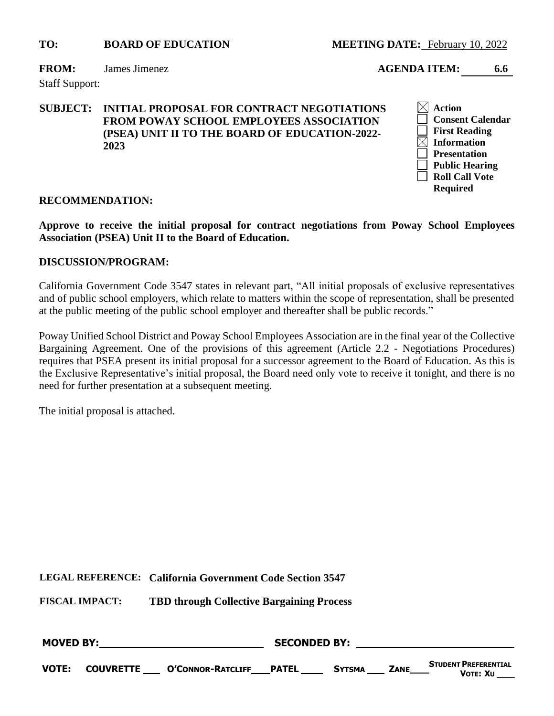**FROM:** James Jimenez **AGENDA ITEM: 6.6**

Staff Support:

### **SUBJECT: INITIAL PROPOSAL FOR CONTRACT NEGOTIATIONS FROM POWAY SCHOOL EMPLOYEES ASSOCIATION (PSEA) UNIT II TO THE BOARD OF EDUCATION-2022- 2023**



#### **RECOMMENDATION:**

**Approve to receive the initial proposal for contract negotiations from Poway School Employees Association (PSEA) Unit II to the Board of Education.**

#### **DISCUSSION/PROGRAM:**

California Government Code 3547 states in relevant part, "All initial proposals of exclusive representatives and of public school employers, which relate to matters within the scope of representation, shall be presented at the public meeting of the public school employer and thereafter shall be public records."

Poway Unified School District and Poway School Employees Association are in the final year of the Collective Bargaining Agreement. One of the provisions of this agreement (Article 2.2 - Negotiations Procedures) requires that PSEA present its initial proposal for a successor agreement to the Board of Education. As this is the Exclusive Representative's initial proposal, the Board need only vote to receive it tonight, and there is no need for further presentation at a subsequent meeting.

The initial proposal is attached.

**LEGAL REFERENCE: California Government Code Section 3547**

| <b>MOVED BY:</b> |  |                                        | <b>SECONDED BY:</b> |               |             |                                         |  |
|------------------|--|----------------------------------------|---------------------|---------------|-------------|-----------------------------------------|--|
| <b>VOTE:</b>     |  | COUVRETTE ____ O'CONNOR-RATCLIFF PATEL |                     | <b>SYTSMA</b> | <b>ZANE</b> | <b>STUDENT PREFERENTIAL</b><br>VOTE: XU |  |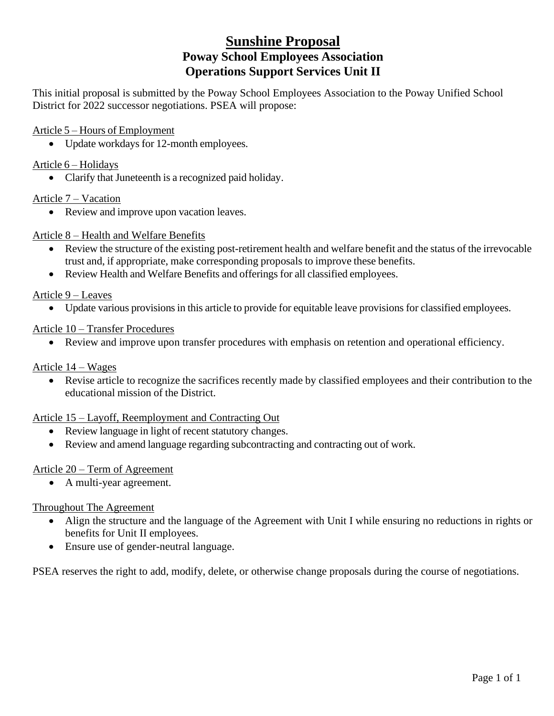# **Sunshine Proposal Poway School Employees Association Operations Support Services Unit II**

This initial proposal is submitted by the Poway School Employees Association to the Poway Unified School District for 2022 successor negotiations. PSEA will propose:

Article 5 – Hours of Employment

• Update workdays for 12-month employees.

Article 6 – Holidays

• Clarify that Juneteenth is a recognized paid holiday.

Article 7 – Vacation

• Review and improve upon vacation leaves.

# Article 8 – Health and Welfare Benefits

- Review the structure of the existing post-retirement health and welfare benefit and the status of the irrevocable trust and, if appropriate, make corresponding proposals to improve these benefits.
- Review Health and Welfare Benefits and offerings for all classified employees.

Article 9 – Leaves

• Update various provisions in this article to provide for equitable leave provisions for classified employees.

# Article 10 – Transfer Procedures

• Review and improve upon transfer procedures with emphasis on retention and operational efficiency.

# Article 14 – Wages

• Revise article to recognize the sacrifices recently made by classified employees and their contribution to the educational mission of the District.

#### Article 15 – Layoff, Reemployment and Contracting Out

- Review language in light of recent statutory changes.
- Review and amend language regarding subcontracting and contracting out of work.

# Article 20 – Term of Agreement

• A multi-year agreement.

#### Throughout The Agreement

- Align the structure and the language of the Agreement with Unit I while ensuring no reductions in rights or benefits for Unit II employees.
- Ensure use of gender-neutral language.

PSEA reserves the right to add, modify, delete, or otherwise change proposals during the course of negotiations.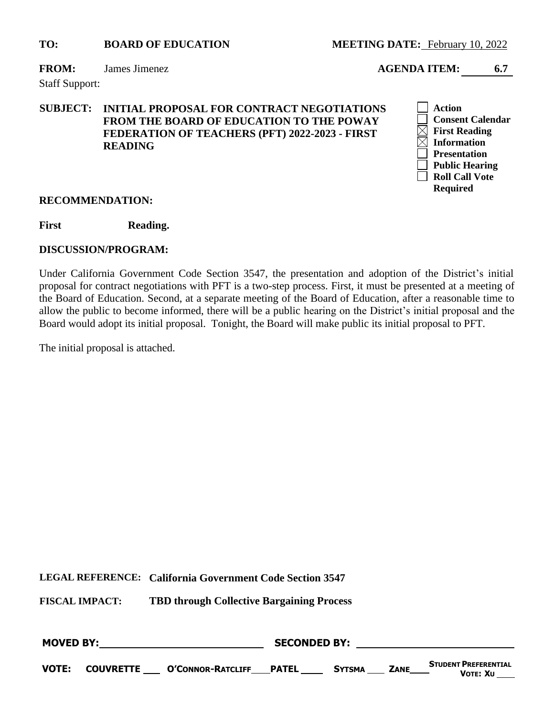**FROM:** James Jimenez **AGENDA ITEM: 6.7**

Staff Support:

# **SUBJECT: INITIAL PROPOSAL FOR CONTRACT NEGOTIATIONS FROM THE BOARD OF EDUCATION TO THE POWAY FEDERATION OF TEACHERS (PFT) 2022-2023 - FIRST READING**



#### **RECOMMENDATION:**

First Reading.

#### **DISCUSSION/PROGRAM:**

Under California Government Code Section 3547, the presentation and adoption of the District's initial proposal for contract negotiations with PFT is a two-step process. First, it must be presented at a meeting of the Board of Education. Second, at a separate meeting of the Board of Education, after a reasonable time to allow the public to become informed, there will be a public hearing on the District's initial proposal and the Board would adopt its initial proposal. Tonight, the Board will make public its initial proposal to PFT.

The initial proposal is attached.

**LEGAL REFERENCE: California Government Code Section 3547**

| <b>MOVED BY:</b> |  |                                          | <b>SECONDED BY:</b> |               |             |                                         |  |
|------------------|--|------------------------------------------|---------------------|---------------|-------------|-----------------------------------------|--|
| <b>VOTE:</b>     |  | <b>COUVRETTE O'CONNOR-RATCLIFF PATEL</b> |                     | <b>SYTSMA</b> | <b>ZANE</b> | <b>STUDENT PREFERENTIAL</b><br>VOTE: XU |  |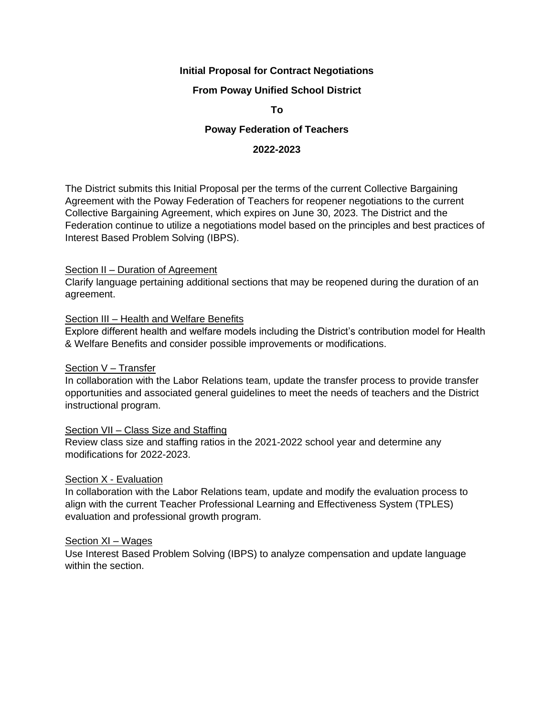#### **Initial Proposal for Contract Negotiations**

#### **From Poway Unified School District**

**To**

#### **Poway Federation of Teachers**

#### **2022-2023**

The District submits this Initial Proposal per the terms of the current Collective Bargaining Agreement with the Poway Federation of Teachers for reopener negotiations to the current Collective Bargaining Agreement, which expires on June 30, 2023. The District and the Federation continue to utilize a negotiations model based on the principles and best practices of Interest Based Problem Solving (IBPS).

#### Section II – Duration of Agreement

Clarify language pertaining additional sections that may be reopened during the duration of an agreement.

#### Section III - Health and Welfare Benefits

Explore different health and welfare models including the District's contribution model for Health & Welfare Benefits and consider possible improvements or modifications.

#### Section V – Transfer

In collaboration with the Labor Relations team, update the transfer process to provide transfer opportunities and associated general guidelines to meet the needs of teachers and the District instructional program.

#### Section VII – Class Size and Staffing

Review class size and staffing ratios in the 2021-2022 school year and determine any modifications for 2022-2023.

#### Section X - Evaluation

In collaboration with the Labor Relations team, update and modify the evaluation process to align with the current Teacher Professional Learning and Effectiveness System (TPLES) evaluation and professional growth program.

#### Section XI – Wages

Use Interest Based Problem Solving (IBPS) to analyze compensation and update language within the section.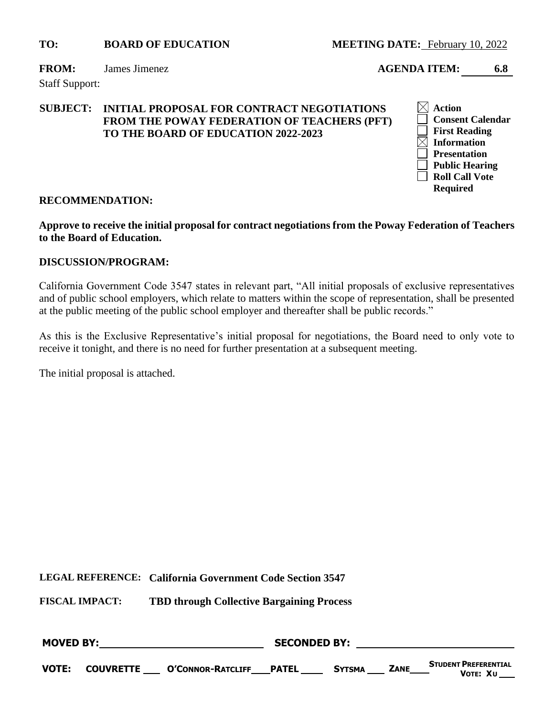**FROM:** James Jimenez **AGENDA ITEM: 6.8**

Staff Support:

#### **SUBJECT: INITIAL PROPOSAL FOR CONTRACT NEGOTIATIONS FROM THE POWAY FEDERATION OF TEACHERS (PFT) TO THE BOARD OF EDUCATION 2022-2023**



#### **RECOMMENDATION:**

**Approve to receive the initial proposal for contract negotiations from the Poway Federation of Teachers to the Board of Education.**

#### **DISCUSSION/PROGRAM:**

California Government Code 3547 states in relevant part, "All initial proposals of exclusive representatives and of public school employers, which relate to matters within the scope of representation, shall be presented at the public meeting of the public school employer and thereafter shall be public records."

As this is the Exclusive Representative's initial proposal for negotiations, the Board need to only vote to receive it tonight, and there is no need for further presentation at a subsequent meeting.

The initial proposal is attached.

**LEGAL REFERENCE: California Government Code Section 3547**

| <b>MOVED BY:</b> |  |                                                  | <b>SECONDED BY:</b> |               |             |                                         |  |
|------------------|--|--------------------------------------------------|---------------------|---------------|-------------|-----------------------------------------|--|
| <b>VOTE:</b>     |  | <b>COUVRETTE ___ O'CONNOR-RATCLIFF ___ PATEL</b> |                     | <b>SYTSMA</b> | <b>ZANE</b> | <b>STUDENT PREFERENTIAL</b><br>Vote: Xu |  |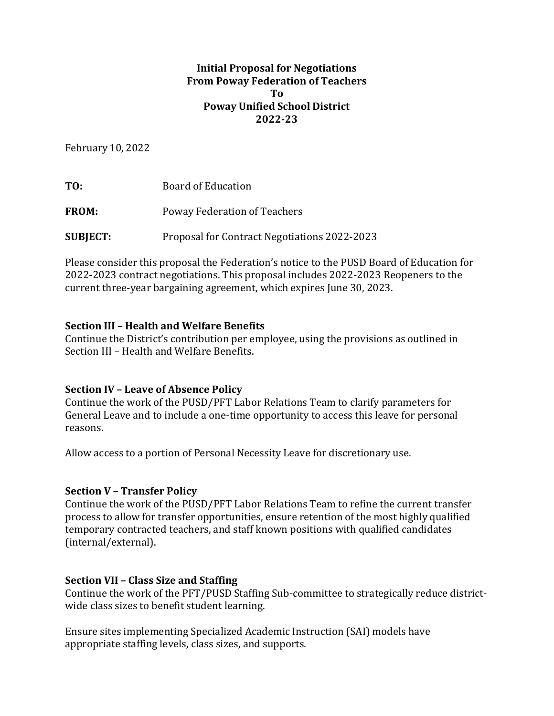# **Initial Proposal for Negotiations From Poway Federation of Teachers To Poway Unified School District 2022-23**

February 10, 2022

TO: Board of Education FROM: Poway Federation of Teachers

**SUBJECT:** Proposal for Contract Negotiations 2022-2023

Please consider this proposal the Federation's notice to the PUSD Board of Education for 2022-2023 contract negotiations. This proposal includes 2022-2023 Reopeners to the current three-year bargaining agreement, which expires June 30, 2023.

# **Section III – Health and Welfare Benefits**

Continue the District's contribution per employee, using the provisions as outlined in Section III – Health and Welfare Benefits.

# **Section IV – Leave of Absence Policy**

Continue the work of the PUSD/PFT Labor Relations Team to clarify parameters for General Leave and to include a one-time opportunity to access this leave for personal reasons.

Allow access to a portion of Personal Necessity Leave for discretionary use.

# **Section V – Transfer Policy**

Continue the work of the PUSD/PFT Labor Relations Team to refine the current transfer process to allow for transfer opportunities, ensure retention of the most highly qualified temporary contracted teachers, and staff known positions with qualified candidates (internal/external).

# **Section VII – Class Size and Staffing**

Continue the work of the PFT/PUSD Staffing Sub-committee to strategically reduce districtwide class sizes to benefit student learning.

Ensure sites implementing Specialized Academic Instruction (SAI) models have appropriate staffing levels, class sizes, and supports.